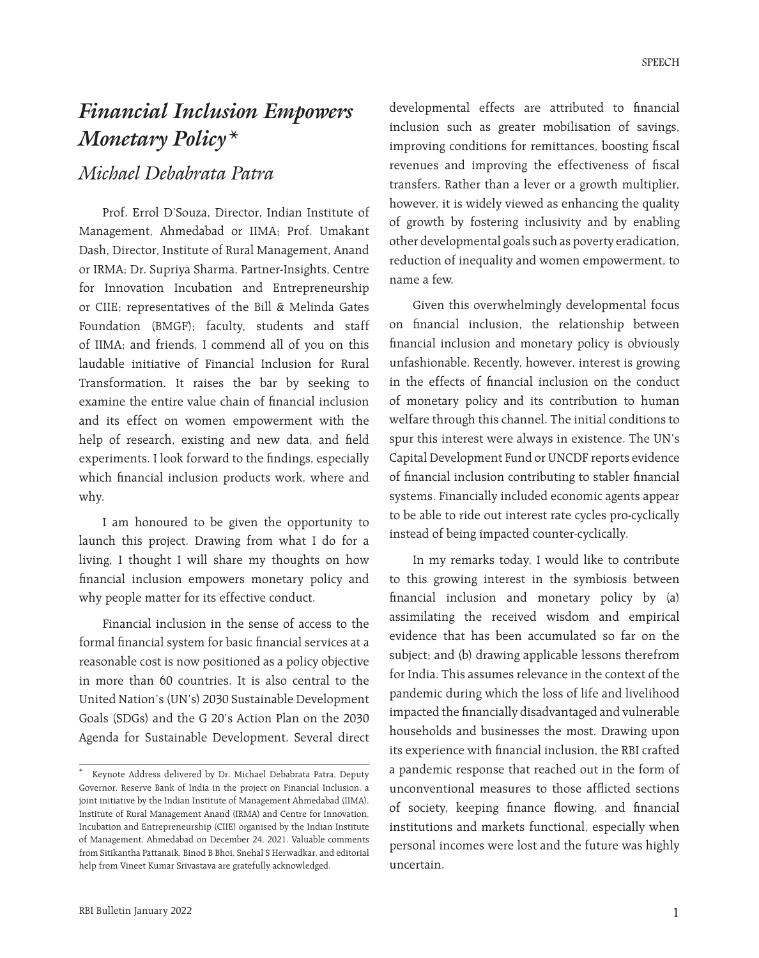# *Financial Inclusion Empowers Monetary Policy\**

# *Michael Debabrata Patra*

Prof. Errol D'Souza, Director, Indian Institute of Management, Ahmedabad or IIMA; Prof. Umakant Dash, Director, Institute of Rural Management, Anand or IRMA; Dr. Supriya Sharma, Partner-Insights, Centre for Innovation Incubation and Entrepreneurship or CIIE; representatives of the Bill & Melinda Gates Foundation (BMGF); faculty, students and staff of IIMA; and friends, I commend all of you on this laudable initiative of Financial Inclusion for Rural Transformation. It raises the bar by seeking to examine the entire value chain of financial inclusion and its effect on women empowerment with the help of research, existing and new data, and field experiments. I look forward to the findings, especially which financial inclusion products work, where and why.

I am honoured to be given the opportunity to launch this project. Drawing from what I do for a living, I thought I will share my thoughts on how financial inclusion empowers monetary policy and why people matter for its effective conduct.

Financial inclusion in the sense of access to the formal financial system for basic financial services at a reasonable cost is now positioned as a policy objective in more than 60 countries. It is also central to the United Nation's (UN's) 2030 Sustainable Development Goals (SDGs) and the G 20's Action Plan on the 2030 Agenda for Sustainable Development. Several direct developmental effects are attributed to financial inclusion such as greater mobilisation of savings, improving conditions for remittances, boosting fiscal revenues and improving the effectiveness of fiscal transfers. Rather than a lever or a growth multiplier, however, it is widely viewed as enhancing the quality of growth by fostering inclusivity and by enabling other developmental goals such as poverty eradication, reduction of inequality and women empowerment, to name a few.

Given this overwhelmingly developmental focus on financial inclusion, the relationship between financial inclusion and monetary policy is obviously unfashionable. Recently, however, interest is growing in the effects of financial inclusion on the conduct of monetary policy and its contribution to human welfare through this channel. The initial conditions to spur this interest were always in existence. The UN's Capital Development Fund or UNCDF reports evidence of financial inclusion contributing to stabler financial systems. Financially included economic agents appear to be able to ride out interest rate cycles pro-cyclically instead of being impacted counter-cyclically.

In my remarks today, I would like to contribute to this growing interest in the symbiosis between financial inclusion and monetary policy by (a) assimilating the received wisdom and empirical evidence that has been accumulated so far on the subject; and (b) drawing applicable lessons therefrom for India. This assumes relevance in the context of the pandemic during which the loss of life and livelihood impacted the financially disadvantaged and vulnerable households and businesses the most. Drawing upon its experience with financial inclusion, the RBI crafted a pandemic response that reached out in the form of unconventional measures to those afflicted sections of society, keeping finance flowing, and financial institutions and markets functional, especially when personal incomes were lost and the future was highly uncertain.

Keynote Address delivered by Dr. Michael Debabrata Patra, Deputy Governor, Reserve Bank of India in the project on Financial Inclusion, a joint initiative by the Indian Institute of Management Ahmedabad (IIMA), Institute of Rural Management Anand (IRMA) and Centre for Innovation, Incubation and Entrepreneurship (CIIE) organised by the Indian Institute of Management, Ahmedabad on December 24, 2021. Valuable comments from Sitikantha Pattanaik, Binod B Bhoi, Snehal S Herwadkar, and editorial help from Vineet Kumar Srivastava are gratefully acknowledged.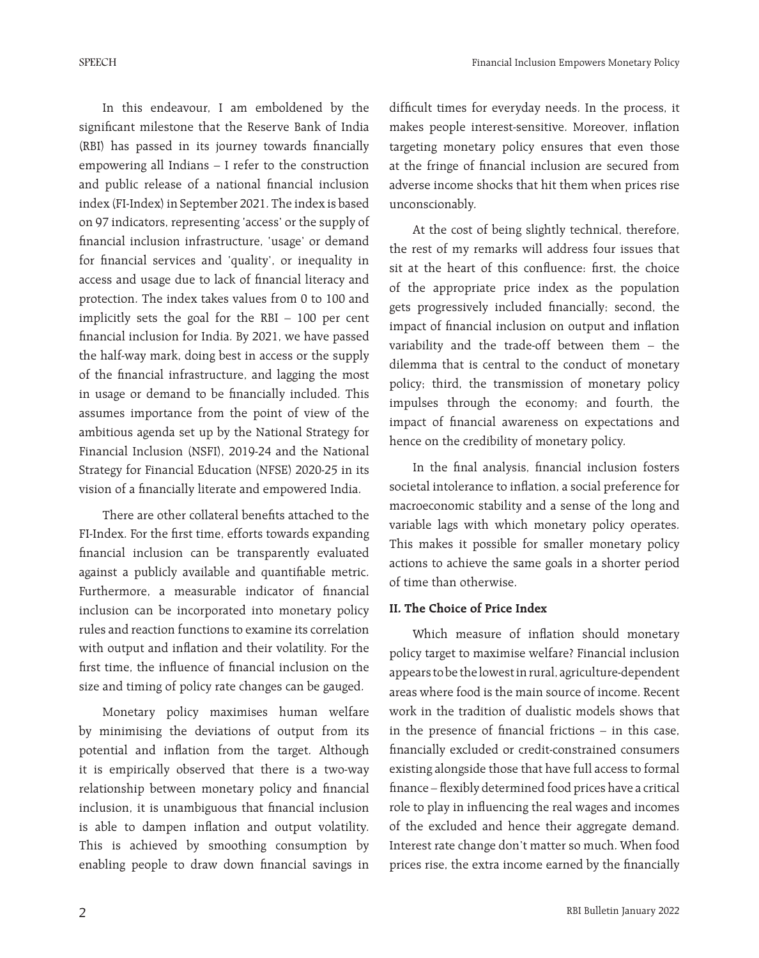In this endeavour, I am emboldened by the significant milestone that the Reserve Bank of India (RBI) has passed in its journey towards financially empowering all Indians – I refer to the construction and public release of a national financial inclusion index (FI-Index) in September 2021. The index is based on 97 indicators, representing 'access' or the supply of financial inclusion infrastructure, 'usage' or demand for financial services and 'quality', or inequality in access and usage due to lack of financial literacy and protection. The index takes values from 0 to 100 and implicitly sets the goal for the RBI – 100 per cent financial inclusion for India. By 2021, we have passed the half-way mark, doing best in access or the supply of the financial infrastructure, and lagging the most in usage or demand to be financially included. This assumes importance from the point of view of the ambitious agenda set up by the National Strategy for Financial Inclusion (NSFI), 2019-24 and the National Strategy for Financial Education (NFSE) 2020-25 in its vision of a financially literate and empowered India.

There are other collateral benefits attached to the FI-Index. For the first time, efforts towards expanding financial inclusion can be transparently evaluated against a publicly available and quantifiable metric. Furthermore, a measurable indicator of financial inclusion can be incorporated into monetary policy rules and reaction functions to examine its correlation with output and inflation and their volatility. For the first time, the influence of financial inclusion on the size and timing of policy rate changes can be gauged.

Monetary policy maximises human welfare by minimising the deviations of output from its potential and inflation from the target. Although it is empirically observed that there is a two-way relationship between monetary policy and financial inclusion, it is unambiguous that financial inclusion is able to dampen inflation and output volatility. This is achieved by smoothing consumption by enabling people to draw down financial savings in difficult times for everyday needs. In the process, it makes people interest-sensitive. Moreover, inflation targeting monetary policy ensures that even those at the fringe of financial inclusion are secured from adverse income shocks that hit them when prices rise unconscionably.

At the cost of being slightly technical, therefore, the rest of my remarks will address four issues that sit at the heart of this confluence: first, the choice of the appropriate price index as the population gets progressively included financially; second, the impact of financial inclusion on output and inflation variability and the trade-off between them – the dilemma that is central to the conduct of monetary policy; third, the transmission of monetary policy impulses through the economy; and fourth, the impact of financial awareness on expectations and hence on the credibility of monetary policy.

In the final analysis, financial inclusion fosters societal intolerance to inflation, a social preference for macroeconomic stability and a sense of the long and variable lags with which monetary policy operates. This makes it possible for smaller monetary policy actions to achieve the same goals in a shorter period of time than otherwise.

### **II. The Choice of Price Index**

Which measure of inflation should monetary policy target to maximise welfare? Financial inclusion appears to be the lowest in rural, agriculture-dependent areas where food is the main source of income. Recent work in the tradition of dualistic models shows that in the presence of financial frictions – in this case, financially excluded or credit-constrained consumers existing alongside those that have full access to formal finance – flexibly determined food prices have a critical role to play in influencing the real wages and incomes of the excluded and hence their aggregate demand. Interest rate change don't matter so much. When food prices rise, the extra income earned by the financially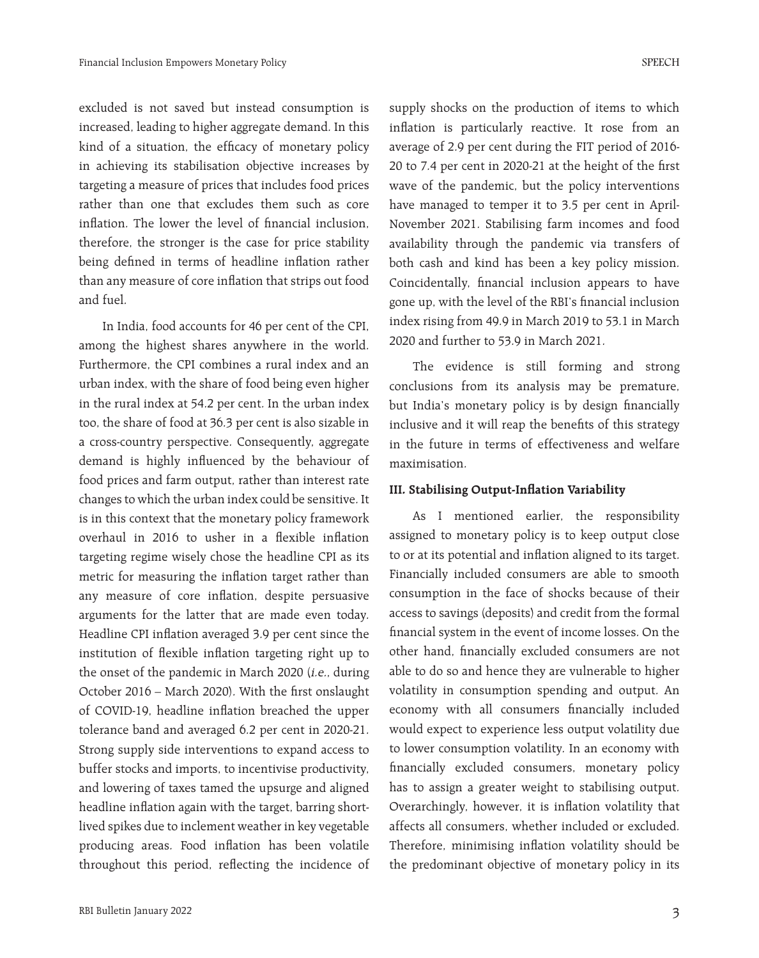excluded is not saved but instead consumption is increased, leading to higher aggregate demand. In this kind of a situation, the efficacy of monetary policy in achieving its stabilisation objective increases by targeting a measure of prices that includes food prices rather than one that excludes them such as core inflation. The lower the level of financial inclusion, therefore, the stronger is the case for price stability being defined in terms of headline inflation rather than any measure of core inflation that strips out food and fuel.

In India, food accounts for 46 per cent of the CPI, among the highest shares anywhere in the world. Furthermore, the CPI combines a rural index and an urban index, with the share of food being even higher in the rural index at 54.2 per cent. In the urban index too, the share of food at 36.3 per cent is also sizable in a cross-country perspective. Consequently, aggregate demand is highly influenced by the behaviour of food prices and farm output, rather than interest rate changes to which the urban index could be sensitive. It is in this context that the monetary policy framework overhaul in 2016 to usher in a flexible inflation targeting regime wisely chose the headline CPI as its metric for measuring the inflation target rather than any measure of core inflation, despite persuasive arguments for the latter that are made even today. Headline CPI inflation averaged 3.9 per cent since the institution of flexible inflation targeting right up to the onset of the pandemic in March 2020 (i.e., during October 2016 – March 2020). With the first onslaught of COVID-19, headline inflation breached the upper tolerance band and averaged 6.2 per cent in 2020-21. Strong supply side interventions to expand access to buffer stocks and imports, to incentivise productivity, and lowering of taxes tamed the upsurge and aligned headline inflation again with the target, barring shortlived spikes due to inclement weather in key vegetable producing areas. Food inflation has been volatile throughout this period, reflecting the incidence of

supply shocks on the production of items to which inflation is particularly reactive. It rose from an average of 2.9 per cent during the FIT period of 2016- 20 to 7.4 per cent in 2020-21 at the height of the first wave of the pandemic, but the policy interventions have managed to temper it to 3.5 per cent in April-November 2021. Stabilising farm incomes and food availability through the pandemic via transfers of both cash and kind has been a key policy mission. Coincidentally, financial inclusion appears to have gone up, with the level of the RBI's financial inclusion index rising from 49.9 in March 2019 to 53.1 in March 2020 and further to 53.9 in March 2021.

The evidence is still forming and strong conclusions from its analysis may be premature, but India's monetary policy is by design financially inclusive and it will reap the benefits of this strategy in the future in terms of effectiveness and welfare maximisation.

#### **III. Stabilising Output-Inflation Variability**

As I mentioned earlier, the responsibility assigned to monetary policy is to keep output close to or at its potential and inflation aligned to its target. Financially included consumers are able to smooth consumption in the face of shocks because of their access to savings (deposits) and credit from the formal financial system in the event of income losses. On the other hand, financially excluded consumers are not able to do so and hence they are vulnerable to higher volatility in consumption spending and output. An economy with all consumers financially included would expect to experience less output volatility due to lower consumption volatility. In an economy with financially excluded consumers, monetary policy has to assign a greater weight to stabilising output. Overarchingly, however, it is inflation volatility that affects all consumers, whether included or excluded. Therefore, minimising inflation volatility should be the predominant objective of monetary policy in its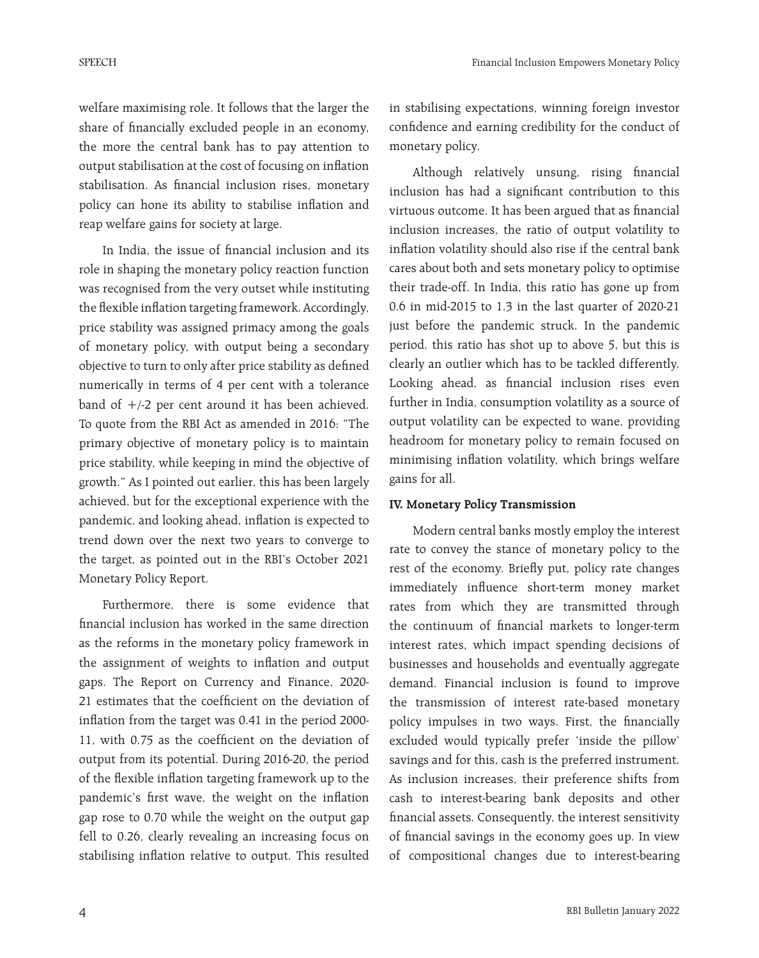welfare maximising role. It follows that the larger the share of financially excluded people in an economy, the more the central bank has to pay attention to output stabilisation at the cost of focusing on inflation stabilisation. As financial inclusion rises, monetary policy can hone its ability to stabilise inflation and reap welfare gains for society at large.

In India, the issue of financial inclusion and its role in shaping the monetary policy reaction function was recognised from the very outset while instituting the flexible inflation targeting framework. Accordingly, price stability was assigned primacy among the goals of monetary policy, with output being a secondary objective to turn to only after price stability as defined numerically in terms of 4 per cent with a tolerance band of +/-2 per cent around it has been achieved. To quote from the RBI Act as amended in 2016: "The primary objective of monetary policy is to maintain price stability, while keeping in mind the objective of growth." As I pointed out earlier, this has been largely achieved, but for the exceptional experience with the pandemic, and looking ahead, inflation is expected to trend down over the next two years to converge to the target, as pointed out in the RBI's October 2021 Monetary Policy Report.

Furthermore, there is some evidence that financial inclusion has worked in the same direction as the reforms in the monetary policy framework in the assignment of weights to inflation and output gaps. The Report on Currency and Finance, 2020- 21 estimates that the coefficient on the deviation of inflation from the target was 0.41 in the period 2000- 11, with 0.75 as the coefficient on the deviation of output from its potential. During 2016-20, the period of the flexible inflation targeting framework up to the pandemic's first wave, the weight on the inflation gap rose to 0.70 while the weight on the output gap fell to 0.26, clearly revealing an increasing focus on stabilising inflation relative to output. This resulted

in stabilising expectations, winning foreign investor confidence and earning credibility for the conduct of monetary policy.

Although relatively unsung, rising financial inclusion has had a significant contribution to this virtuous outcome. It has been argued that as financial inclusion increases, the ratio of output volatility to inflation volatility should also rise if the central bank cares about both and sets monetary policy to optimise their trade-off. In India, this ratio has gone up from 0.6 in mid-2015 to 1.3 in the last quarter of 2020-21 just before the pandemic struck. In the pandemic period, this ratio has shot up to above 5, but this is clearly an outlier which has to be tackled differently. Looking ahead, as financial inclusion rises even further in India, consumption volatility as a source of output volatility can be expected to wane, providing headroom for monetary policy to remain focused on minimising inflation volatility, which brings welfare gains for all.

### **IV. Monetary Policy Transmission**

Modern central banks mostly employ the interest rate to convey the stance of monetary policy to the rest of the economy. Briefly put, policy rate changes immediately influence short-term money market rates from which they are transmitted through the continuum of financial markets to longer-term interest rates, which impact spending decisions of businesses and households and eventually aggregate demand. Financial inclusion is found to improve the transmission of interest rate-based monetary policy impulses in two ways. First, the financially excluded would typically prefer 'inside the pillow' savings and for this, cash is the preferred instrument. As inclusion increases, their preference shifts from cash to interest-bearing bank deposits and other financial assets. Consequently, the interest sensitivity of financial savings in the economy goes up. In view of compositional changes due to interest-bearing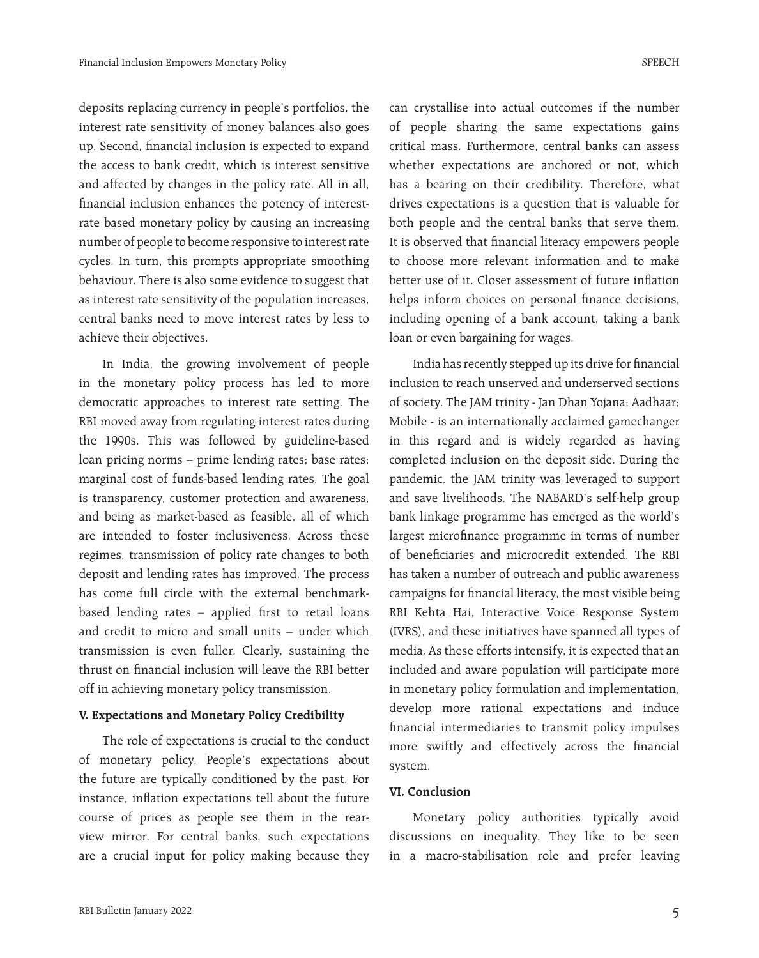deposits replacing currency in people's portfolios, the interest rate sensitivity of money balances also goes up. Second, financial inclusion is expected to expand the access to bank credit, which is interest sensitive and affected by changes in the policy rate. All in all, financial inclusion enhances the potency of interestrate based monetary policy by causing an increasing number of people to become responsive to interest rate cycles. In turn, this prompts appropriate smoothing behaviour. There is also some evidence to suggest that as interest rate sensitivity of the population increases, central banks need to move interest rates by less to achieve their objectives.

In India, the growing involvement of people in the monetary policy process has led to more democratic approaches to interest rate setting. The RBI moved away from regulating interest rates during the 1990s. This was followed by guideline-based loan pricing norms – prime lending rates; base rates; marginal cost of funds-based lending rates. The goal is transparency, customer protection and awareness, and being as market-based as feasible, all of which are intended to foster inclusiveness. Across these regimes, transmission of policy rate changes to both deposit and lending rates has improved. The process has come full circle with the external benchmarkbased lending rates – applied first to retail loans and credit to micro and small units – under which transmission is even fuller. Clearly, sustaining the thrust on financial inclusion will leave the RBI better off in achieving monetary policy transmission.

#### **V. Expectations and Monetary Policy Credibility**

The role of expectations is crucial to the conduct of monetary policy. People's expectations about the future are typically conditioned by the past. For instance, inflation expectations tell about the future course of prices as people see them in the rearview mirror. For central banks, such expectations are a crucial input for policy making because they

can crystallise into actual outcomes if the number of people sharing the same expectations gains critical mass. Furthermore, central banks can assess whether expectations are anchored or not, which has a bearing on their credibility. Therefore, what drives expectations is a question that is valuable for both people and the central banks that serve them. It is observed that financial literacy empowers people to choose more relevant information and to make better use of it. Closer assessment of future inflation helps inform choices on personal finance decisions, including opening of a bank account, taking a bank loan or even bargaining for wages.

India has recently stepped up its drive for financial inclusion to reach unserved and underserved sections of society. The JAM trinity - Jan Dhan Yojana; Aadhaar; Mobile - is an internationally acclaimed gamechanger in this regard and is widely regarded as having completed inclusion on the deposit side. During the pandemic, the JAM trinity was leveraged to support and save livelihoods. The NABARD's self-help group bank linkage programme has emerged as the world's largest microfinance programme in terms of number of beneficiaries and microcredit extended. The RBI has taken a number of outreach and public awareness campaigns for financial literacy, the most visible being RBI Kehta Hai, Interactive Voice Response System (IVRS), and these initiatives have spanned all types of media. As these efforts intensify, it is expected that an included and aware population will participate more in monetary policy formulation and implementation, develop more rational expectations and induce financial intermediaries to transmit policy impulses more swiftly and effectively across the financial system.

### **VI. Conclusion**

Monetary policy authorities typically avoid discussions on inequality. They like to be seen in a macro-stabilisation role and prefer leaving